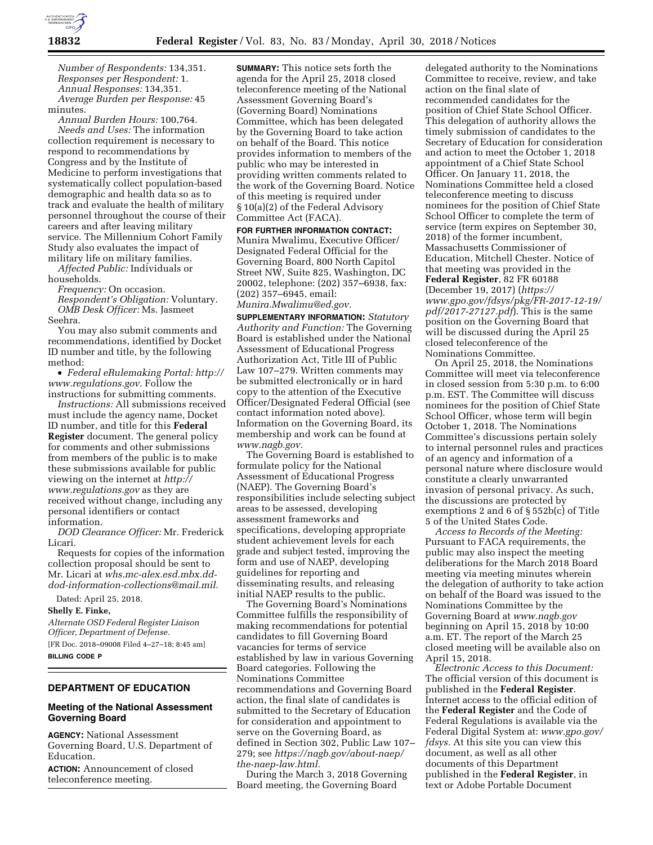

*Number of Respondents:* 134,351. *Responses per Respondent:* 1. *Annual Responses:* 134,351. *Average Burden per Response:* 45 minutes.

*Annual Burden Hours:* 100,764. *Needs and Uses:* The information collection requirement is necessary to respond to recommendations by Congress and by the Institute of Medicine to perform investigations that systematically collect population-based demographic and health data so as to track and evaluate the health of military personnel throughout the course of their careers and after leaving military service. The Millennium Cohort Family Study also evaluates the impact of military life on military families.

*Affected Public:* Individuals or households.

*Frequency:* On occasion.

*Respondent's Obligation:* Voluntary. *OMB Desk Officer:* Ms. Jasmeet Seehra.

You may also submit comments and recommendations, identified by Docket ID number and title, by the following method:

• *Federal eRulemaking Portal: [http://](http://www.regulations.gov)  [www.regulations.gov.](http://www.regulations.gov)* Follow the instructions for submitting comments.

*Instructions:* All submissions received must include the agency name, Docket ID number, and title for this **Federal Register** document. The general policy for comments and other submissions from members of the public is to make these submissions available for public viewing on the internet at *[http://](http://www.regulations.gov) [www.regulations.gov](http://www.regulations.gov)* as they are received without change, including any personal identifiers or contact information.

*DOD Clearance Officer:* Mr. Frederick Licari.

Requests for copies of the information collection proposal should be sent to Mr. Licari at *[whs.mc-alex.esd.mbx.dd](mailto:whs.mc-alex.esd.mbx.dd-dod-information-collections@mail.mil)[dod-information-collections@mail.mil.](mailto:whs.mc-alex.esd.mbx.dd-dod-information-collections@mail.mil)* 

Dated: April 25, 2018.

**Shelly E. Finke,** 

*Alternate OSD Federal Register Liaison Officer, Department of Defense.*  [FR Doc. 2018–09008 Filed 4–27–18; 8:45 am] **BILLING CODE P** 

## **DEPARTMENT OF EDUCATION**

## **Meeting of the National Assessment Governing Board**

**AGENCY:** National Assessment Governing Board, U.S. Department of Education.

**ACTION:** Announcement of closed teleconference meeting.

**SUMMARY:** This notice sets forth the agenda for the April 25, 2018 closed teleconference meeting of the National Assessment Governing Board's (Governing Board) Nominations Committee, which has been delegated by the Governing Board to take action on behalf of the Board. This notice provides information to members of the public who may be interested in providing written comments related to the work of the Governing Board. Notice of this meeting is required under § 10(a)(2) of the Federal Advisory Committee Act (FACA).

#### **FOR FURTHER INFORMATION CONTACT:**

Munira Mwalimu, Executive Officer/ Designated Federal Official for the Governing Board, 800 North Capitol Street NW, Suite 825, Washington, DC 20002, telephone: (202) 357–6938, fax: (202) 357–6945, email:

### *[Munira.Mwalimu@ed.gov.](mailto:Munira.Mwalimu@ed.gov)*

**SUPPLEMENTARY INFORMATION:** *Statutory Authority and Function:* The Governing Board is established under the National Assessment of Educational Progress Authorization Act, Title III of Public Law 107–279. Written comments may be submitted electronically or in hard copy to the attention of the Executive Officer/Designated Federal Official (see contact information noted above). Information on the Governing Board, its membership and work can be found at *[www.nagb.gov.](http://www.nagb.gov)* 

The Governing Board is established to formulate policy for the National Assessment of Educational Progress (NAEP). The Governing Board's responsibilities include selecting subject areas to be assessed, developing assessment frameworks and specifications, developing appropriate student achievement levels for each grade and subject tested, improving the form and use of NAEP, developing guidelines for reporting and disseminating results, and releasing initial NAEP results to the public.

The Governing Board's Nominations Committee fulfills the responsibility of making recommendations for potential candidates to fill Governing Board vacancies for terms of service established by law in various Governing Board categories. Following the Nominations Committee recommendations and Governing Board action, the final slate of candidates is submitted to the Secretary of Education for consideration and appointment to serve on the Governing Board, as defined in Section 302, Public Law 107– 279; see *[https://nagb.gov/about-naep/](https://nagb.gov/about-naep/the-naep-law.html)  [the-naep-law.html.](https://nagb.gov/about-naep/the-naep-law.html)* 

During the March 3, 2018 Governing Board meeting, the Governing Board

delegated authority to the Nominations Committee to receive, review, and take action on the final slate of recommended candidates for the position of Chief State School Officer. This delegation of authority allows the timely submission of candidates to the Secretary of Education for consideration and action to meet the October 1, 2018 appointment of a Chief State School Officer. On January 11, 2018, the Nominations Committee held a closed teleconference meeting to discuss nominees for the position of Chief State School Officer to complete the term of service (term expires on September 30, 2018) of the former incumbent, Massachusetts Commissioner of Education, Mitchell Chester. Notice of that meeting was provided in the **Federal Register**, 82 FR 60188 (December 19, 2017) (*[https://](https://www.gpo.gov/fdsys/pkg/FR-2017-12-19/pdf/2017-27127.pdf) [www.gpo.gov/fdsys/pkg/FR-2017-12-19/](https://www.gpo.gov/fdsys/pkg/FR-2017-12-19/pdf/2017-27127.pdf) [pdf/2017-27127.pdf](https://www.gpo.gov/fdsys/pkg/FR-2017-12-19/pdf/2017-27127.pdf)*). This is the same position on the Governing Board that will be discussed during the April 25 closed teleconference of the Nominations Committee.

On April 25, 2018, the Nominations Committee will meet via teleconference in closed session from 5:30 p.m. to 6:00 p.m. EST. The Committee will discuss nominees for the position of Chief State School Officer, whose term will begin October 1, 2018. The Nominations Committee's discussions pertain solely to internal personnel rules and practices of an agency and information of a personal nature where disclosure would constitute a clearly unwarranted invasion of personal privacy. As such, the discussions are protected by exemptions 2 and 6 of § 552b(c) of Title 5 of the United States Code.

*Access to Records of the Meeting:*  Pursuant to FACA requirements, the public may also inspect the meeting deliberations for the March 2018 Board meeting via meeting minutes wherein the delegation of authority to take action on behalf of the Board was issued to the Nominations Committee by the Governing Board at *[www.nagb.gov](http://www.nagb.gov)*  beginning on April 15, 2018 by 10:00 a.m. ET. The report of the March 25 closed meeting will be available also on April 15, 2018.

*Electronic Access to this Document:*  The official version of this document is published in the **Federal Register**. Internet access to the official edition of the **Federal Register** and the Code of Federal Regulations is available via the Federal Digital System at: *[www.gpo.gov/](http://www.gpo.gov/fdsys)  [fdsys.](http://www.gpo.gov/fdsys)* At this site you can view this document, as well as all other documents of this Department published in the **Federal Register**, in text or Adobe Portable Document